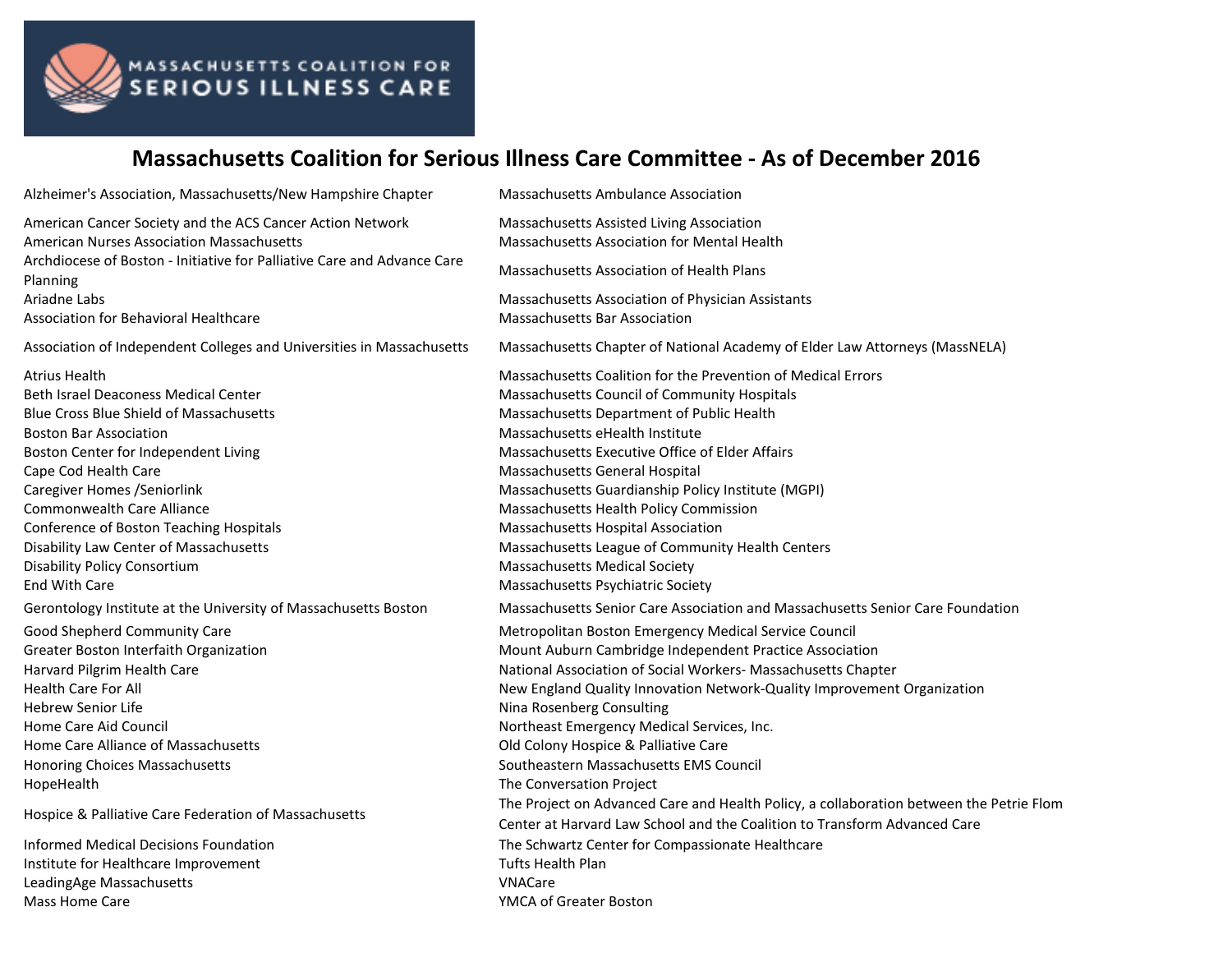

## MASSACHUSETTS COALITION FOR<br>SERIOUS ILLNESS CARE

## **Massachusetts Coalition for Serious Illness Care Committee - As of December 2016**

| Alzheimer's Association, Massachusetts/New Hampshire Chapter                                                                                                                                         | Massachusetts Ambulance Association                                                      |
|------------------------------------------------------------------------------------------------------------------------------------------------------------------------------------------------------|------------------------------------------------------------------------------------------|
| American Cancer Society and the ACS Cancer Action Network<br><b>American Nurses Association Massachusetts</b><br>Archdiocese of Boston - Initiative for Palliative Care and Advance Care<br>Planning | Massachusetts Assisted Living Association<br>Massachusetts Association for Mental Health |
|                                                                                                                                                                                                      | Massachusetts Association of Health Plans                                                |
| Ariadne Labs                                                                                                                                                                                         | Massachusetts Association of Physician Assistants                                        |
| Association for Behavioral Healthcare                                                                                                                                                                | Massachusetts Bar Association                                                            |
| Association of Independent Colleges and Universities in Massachusetts                                                                                                                                | Massachusetts Chapter of National Academy of Elder Law Attorneys (MassNELA)              |
| Atrius Health                                                                                                                                                                                        | Massachusetts Coalition for the Prevention of Medical Errors                             |
| <b>Beth Israel Deaconess Medical Center</b>                                                                                                                                                          | Massachusetts Council of Community Hospitals                                             |
| <b>Blue Cross Blue Shield of Massachusetts</b>                                                                                                                                                       | Massachusetts Department of Public Health                                                |
| <b>Boston Bar Association</b>                                                                                                                                                                        | Massachusetts eHealth Institute                                                          |
| Boston Center for Independent Living                                                                                                                                                                 | Massachusetts Executive Office of Elder Affairs                                          |
| Cape Cod Health Care                                                                                                                                                                                 | Massachusetts General Hospital                                                           |
| <b>Caregiver Homes / Seniorlink</b>                                                                                                                                                                  | Massachusetts Guardianship Policy Institute (MGPI)                                       |
| <b>Commonwealth Care Alliance</b>                                                                                                                                                                    | Massachusetts Health Policy Commission                                                   |
| Conference of Boston Teaching Hospitals                                                                                                                                                              | Massachusetts Hospital Association                                                       |
| Disability Law Center of Massachusetts                                                                                                                                                               | Massachusetts League of Community Health Centers                                         |
| <b>Disability Policy Consortium</b>                                                                                                                                                                  | <b>Massachusetts Medical Society</b>                                                     |
| End With Care                                                                                                                                                                                        | Massachusetts Psychiatric Society                                                        |
| Gerontology Institute at the University of Massachusetts Boston                                                                                                                                      | Massachusetts Senior Care Association and Massachusetts Senior Care Foundation           |
| Good Shepherd Community Care                                                                                                                                                                         | Metropolitan Boston Emergency Medical Service Council                                    |
| Greater Boston Interfaith Organization                                                                                                                                                               | Mount Auburn Cambridge Independent Practice Association                                  |
| Harvard Pilgrim Health Care                                                                                                                                                                          | National Association of Social Workers- Massachusetts Chapter                            |
| <b>Health Care For All</b>                                                                                                                                                                           | New England Quality Innovation Network-Quality Improvement Organization                  |
| <b>Hebrew Senior Life</b>                                                                                                                                                                            | Nina Rosenberg Consulting                                                                |
| Home Care Aid Council                                                                                                                                                                                | Northeast Emergency Medical Services, Inc.                                               |
| Home Care Alliance of Massachusetts                                                                                                                                                                  | Old Colony Hospice & Palliative Care                                                     |
| Honoring Choices Massachusetts                                                                                                                                                                       | Southeastern Massachusetts EMS Council                                                   |
| HopeHealth                                                                                                                                                                                           | The Conversation Project                                                                 |
| Hospice & Palliative Care Federation of Massachusetts                                                                                                                                                | The Project on Advanced Care and Health Policy, a collaboration between the Petrie Flom  |
|                                                                                                                                                                                                      | Center at Harvard Law School and the Coalition to Transform Advanced Care                |
| <b>Informed Medical Decisions Foundation</b>                                                                                                                                                         | The Schwartz Center for Compassionate Healthcare                                         |
| Institute for Healthcare Improvement                                                                                                                                                                 | <b>Tufts Health Plan</b>                                                                 |
| LeadingAge Massachusetts                                                                                                                                                                             | <b>VNACare</b>                                                                           |
| Mass Home Care                                                                                                                                                                                       | YMCA of Greater Boston                                                                   |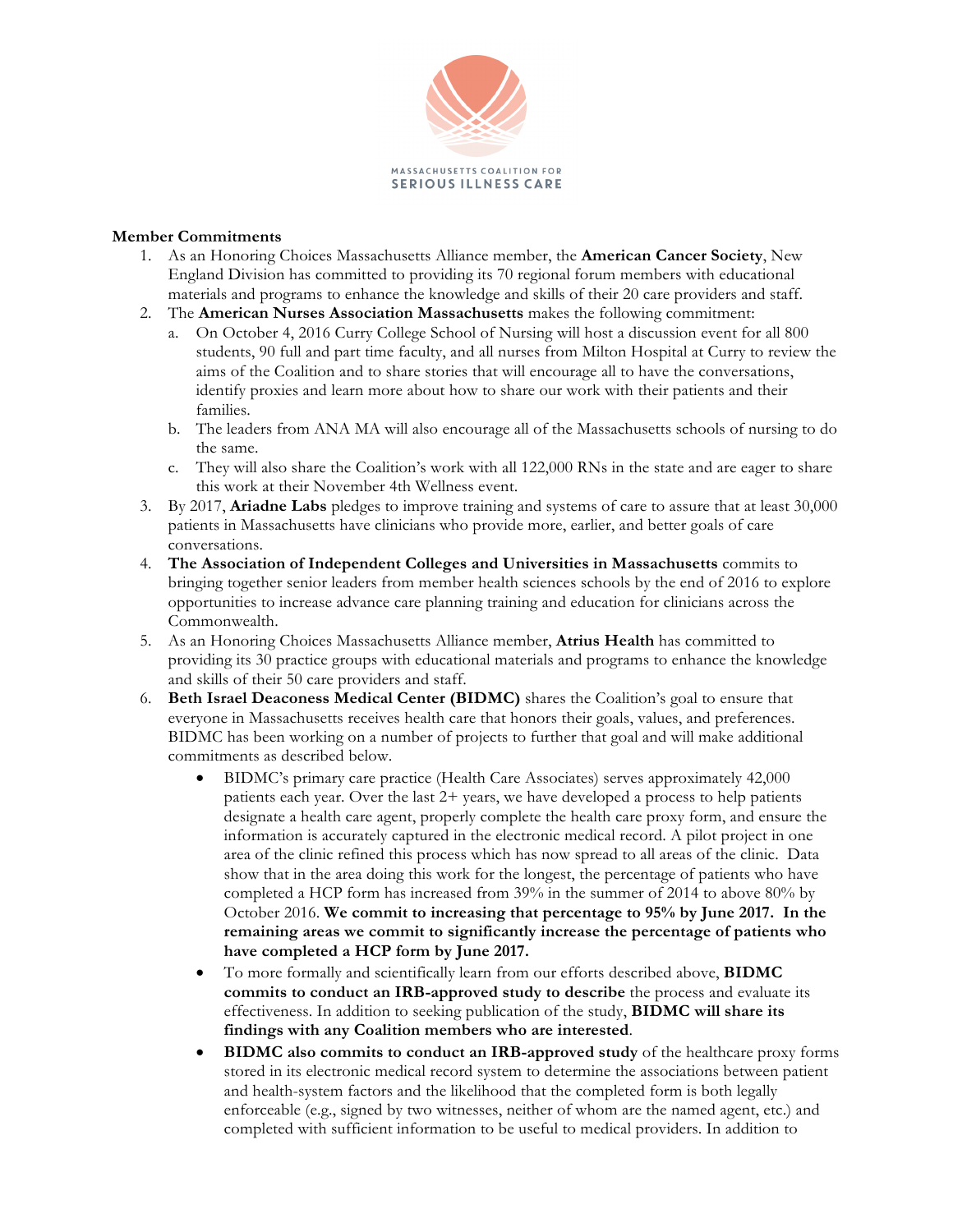

## **Member Commitments**

- 1. As an Honoring Choices Massachusetts Alliance member, the **American Cancer Society**, New England Division has committed to providing its 70 regional forum members with educational materials and programs to enhance the knowledge and skills of their 20 care providers and staff.
- 2. The **American Nurses Association Massachusetts** makes the following commitment:
	- a. On October 4, 2016 Curry College School of Nursing will host a discussion event for all 800 students, 90 full and part time faculty, and all nurses from Milton Hospital at Curry to review the aims of the Coalition and to share stories that will encourage all to have the conversations, identify proxies and learn more about how to share our work with their patients and their families.
	- b. The leaders from ANA MA will also encourage all of the Massachusetts schools of nursing to do the same.
	- c. They will also share the Coalition's work with all 122,000 RNs in the state and are eager to share this work at their November 4th Wellness event.
- 3. By 2017, **Ariadne Labs** pledges to improve training and systems of care to assure that at least 30,000 patients in Massachusetts have clinicians who provide more, earlier, and better goals of care conversations.
- 4. **The Association of Independent Colleges and Universities in Massachusetts** commits to bringing together senior leaders from member health sciences schools by the end of 2016 to explore opportunities to increase advance care planning training and education for clinicians across the Commonwealth.
- 5. As an Honoring Choices Massachusetts Alliance member, **Atrius Health** has committed to providing its 30 practice groups with educational materials and programs to enhance the knowledge and skills of their 50 care providers and staff.
- 6. **Beth Israel Deaconess Medical Center (BIDMC)** shares the Coalition's goal to ensure that everyone in Massachusetts receives health care that honors their goals, values, and preferences. BIDMC has been working on a number of projects to further that goal and will make additional commitments as described below.
	- BIDMC's primary care practice (Health Care Associates) serves approximately 42,000 patients each year. Over the last 2+ years, we have developed a process to help patients designate a health care agent, properly complete the health care proxy form, and ensure the information is accurately captured in the electronic medical record. A pilot project in one area of the clinic refined this process which has now spread to all areas of the clinic. Data show that in the area doing this work for the longest, the percentage of patients who have completed a HCP form has increased from 39% in the summer of 2014 to above 80% by October 2016. **We commit to increasing that percentage to 95% by June 2017. In the remaining areas we commit to significantly increase the percentage of patients who have completed a HCP form by June 2017.**
	- To more formally and scientifically learn from our efforts described above, **BIDMC commits to conduct an IRB-approved study to describe** the process and evaluate its effectiveness. In addition to seeking publication of the study, **BIDMC will share its findings with any Coalition members who are interested**.
	- **BIDMC also commits to conduct an IRB-approved study** of the healthcare proxy forms stored in its electronic medical record system to determine the associations between patient and health-system factors and the likelihood that the completed form is both legally enforceable (e.g., signed by two witnesses, neither of whom are the named agent, etc.) and completed with sufficient information to be useful to medical providers. In addition to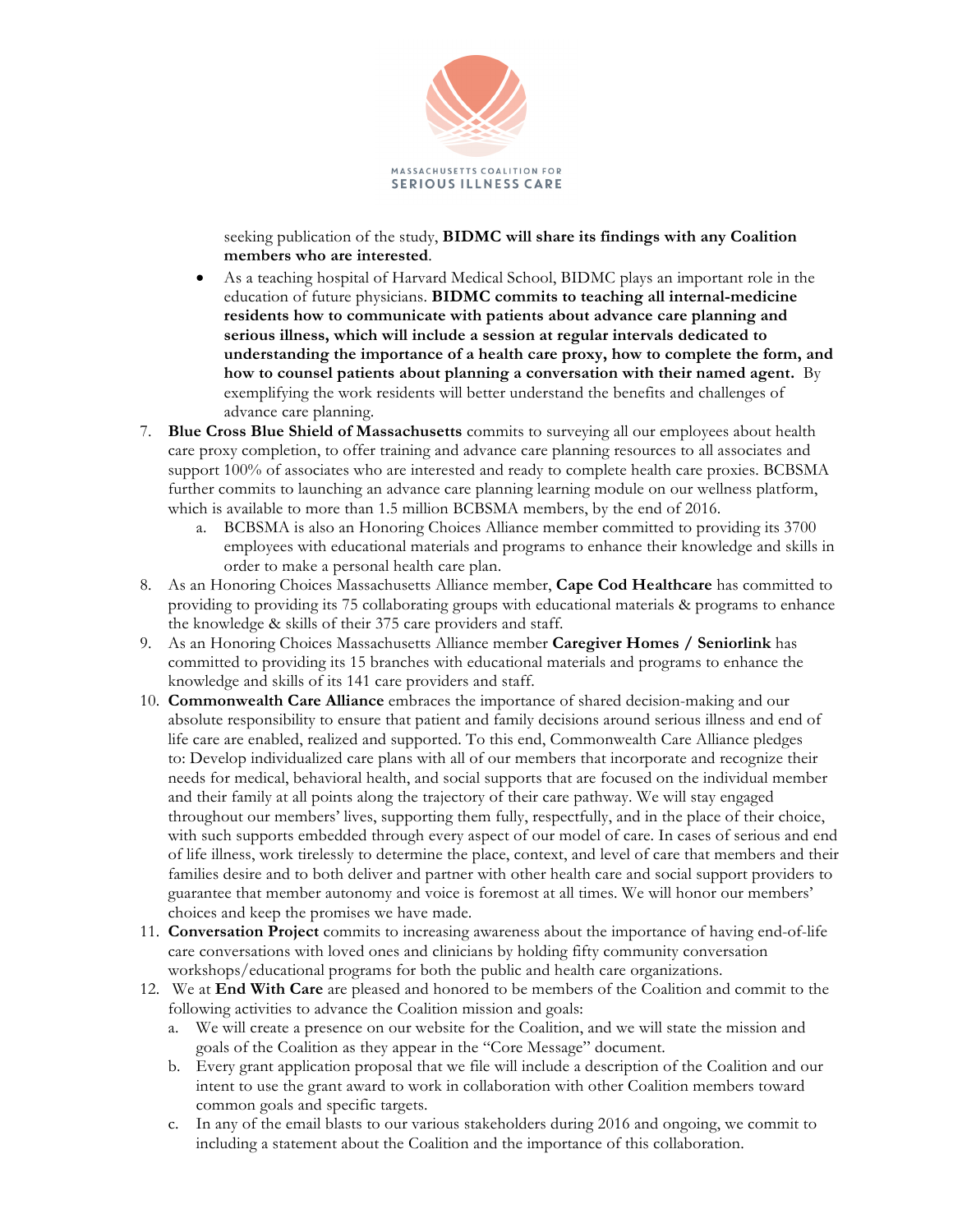

seeking publication of the study, **BIDMC will share its findings with any Coalition members who are interested**.

- As a teaching hospital of Harvard Medical School, BIDMC plays an important role in the education of future physicians. **BIDMC commits to teaching all internal-medicine residents how to communicate with patients about advance care planning and serious illness, which will include a session at regular intervals dedicated to understanding the importance of a health care proxy, how to complete the form, and how to counsel patients about planning a conversation with their named agent.** By exemplifying the work residents will better understand the benefits and challenges of advance care planning.
- 7. **Blue Cross Blue Shield of Massachusetts** commits to surveying all our employees about health care proxy completion, to offer training and advance care planning resources to all associates and support 100% of associates who are interested and ready to complete health care proxies. BCBSMA further commits to launching an advance care planning learning module on our wellness platform, which is available to more than 1.5 million BCBSMA members, by the end of 2016.
	- a. BCBSMA is also an Honoring Choices Alliance member committed to providing its 3700 employees with educational materials and programs to enhance their knowledge and skills in order to make a personal health care plan.
- 8. As an Honoring Choices Massachusetts Alliance member, **Cape Cod Healthcare** has committed to providing to providing its 75 collaborating groups with educational materials & programs to enhance the knowledge & skills of their 375 care providers and staff.
- 9. As an Honoring Choices Massachusetts Alliance member **Caregiver Homes / Seniorlink** has committed to providing its 15 branches with educational materials and programs to enhance the knowledge and skills of its 141 care providers and staff.
- 10. **Commonwealth Care Alliance** embraces the importance of shared decision-making and our absolute responsibility to ensure that patient and family decisions around serious illness and end of life care are enabled, realized and supported. To this end, Commonwealth Care Alliance pledges to: Develop individualized care plans with all of our members that incorporate and recognize their needs for medical, behavioral health, and social supports that are focused on the individual member and their family at all points along the trajectory of their care pathway. We will stay engaged throughout our members' lives, supporting them fully, respectfully, and in the place of their choice, with such supports embedded through every aspect of our model of care. In cases of serious and end of life illness, work tirelessly to determine the place, context, and level of care that members and their families desire and to both deliver and partner with other health care and social support providers to guarantee that member autonomy and voice is foremost at all times. We will honor our members' choices and keep the promises we have made.
- 11. **Conversation Project** commits to increasing awareness about the importance of having end-of-life care conversations with loved ones and clinicians by holding fifty community conversation workshops/educational programs for both the public and health care organizations.
- 12. We at **End With Care** are pleased and honored to be members of the Coalition and commit to the following activities to advance the Coalition mission and goals:
	- a. We will create a presence on our website for the Coalition, and we will state the mission and goals of the Coalition as they appear in the "Core Message" document.
	- b. Every grant application proposal that we file will include a description of the Coalition and our intent to use the grant award to work in collaboration with other Coalition members toward common goals and specific targets.
	- c. In any of the email blasts to our various stakeholders during 2016 and ongoing, we commit to including a statement about the Coalition and the importance of this collaboration.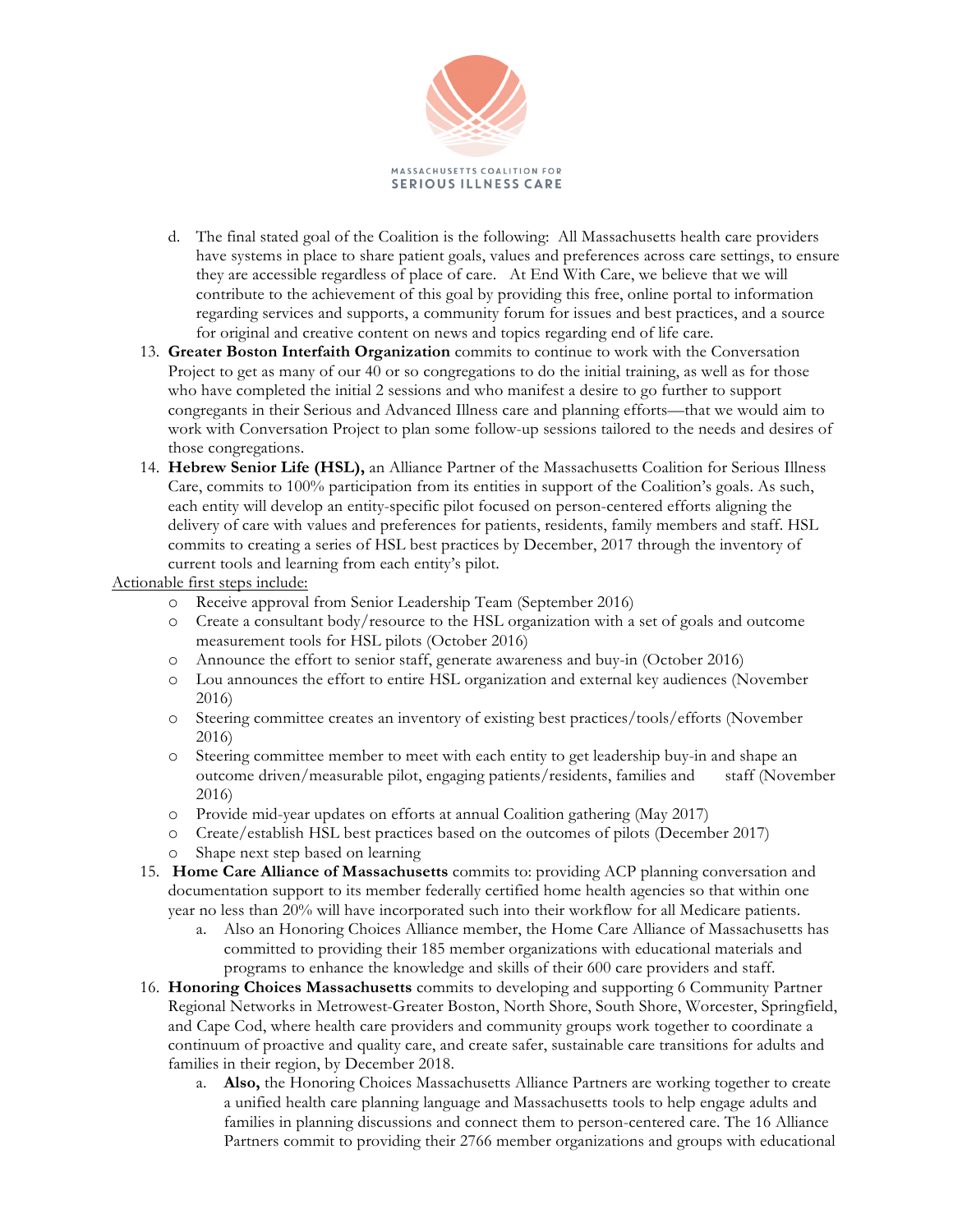

- d. The final stated goal of the Coalition is the following: All Massachusetts health care providers have systems in place to share patient goals, values and preferences across care settings, to ensure they are accessible regardless of place of care. At End With Care, we believe that we will contribute to the achievement of this goal by providing this free, online portal to information regarding services and supports, a community forum for issues and best practices, and a source for original and creative content on news and topics regarding end of life care.
- 13. **Greater Boston Interfaith Organization** commits to continue to work with the Conversation Project to get as many of our 40 or so congregations to do the initial training, as well as for those who have completed the initial 2 sessions and who manifest a desire to go further to support congregants in their Serious and Advanced Illness care and planning efforts—that we would aim to work with Conversation Project to plan some follow-up sessions tailored to the needs and desires of those congregations.
- 14. **Hebrew Senior Life (HSL),** an Alliance Partner of the Massachusetts Coalition for Serious Illness Care, commits to 100% participation from its entities in support of the Coalition's goals. As such, each entity will develop an entity-specific pilot focused on person-centered efforts aligning the delivery of care with values and preferences for patients, residents, family members and staff. HSL commits to creating a series of HSL best practices by December, 2017 through the inventory of current tools and learning from each entity's pilot.

Actionable first steps include:

- o Receive approval from Senior Leadership Team (September 2016)
- o Create a consultant body/resource to the HSL organization with a set of goals and outcome measurement tools for HSL pilots (October 2016)
- o Announce the effort to senior staff, generate awareness and buy-in (October 2016)
- o Lou announces the effort to entire HSL organization and external key audiences (November 2016)
- o Steering committee creates an inventory of existing best practices/tools/efforts (November 2016)
- o Steering committee member to meet with each entity to get leadership buy-in and shape an outcome driven/measurable pilot, engaging patients/residents, families and staff (November 2016)
- o Provide mid-year updates on efforts at annual Coalition gathering (May 2017)
- o Create/establish HSL best practices based on the outcomes of pilots (December 2017)
- Shape next step based on learning
- 15. **Home Care Alliance of Massachusetts** commits to: providing ACP planning conversation and documentation support to its member federally certified home health agencies so that within one year no less than 20% will have incorporated such into their workflow for all Medicare patients.
	- a. Also an Honoring Choices Alliance member, the Home Care Alliance of Massachusetts has committed to providing their 185 member organizations with educational materials and programs to enhance the knowledge and skills of their 600 care providers and staff.
- 16. **Honoring Choices Massachusetts** commits to developing and supporting 6 Community Partner Regional Networks in Metrowest-Greater Boston, North Shore, South Shore, Worcester, Springfield, and Cape Cod, where health care providers and community groups work together to coordinate a continuum of proactive and quality care, and create safer, sustainable care transitions for adults and families in their region, by December 2018.
	- a. **Also,** the Honoring Choices Massachusetts Alliance Partners are working together to create a unified health care planning language and Massachusetts tools to help engage adults and families in planning discussions and connect them to person-centered care. The 16 Alliance Partners commit to providing their 2766 member organizations and groups with educational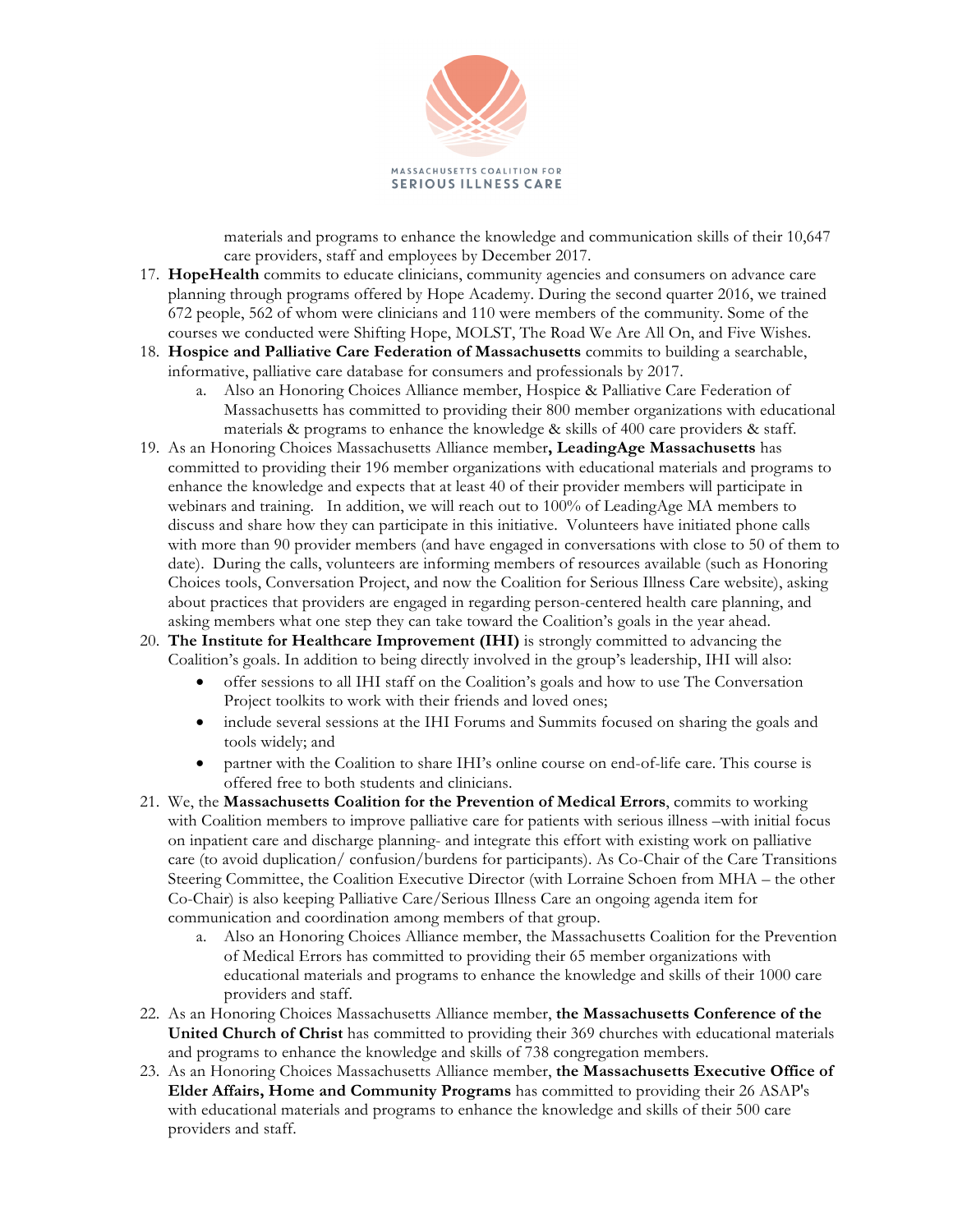

materials and programs to enhance the knowledge and communication skills of their 10,647 care providers, staff and employees by December 2017.

- 17. **HopeHealth** commits to educate clinicians, community agencies and consumers on advance care planning through programs offered by Hope Academy. During the second quarter 2016, we trained 672 people, 562 of whom were clinicians and 110 were members of the community. Some of the courses we conducted were Shifting Hope, MOLST, The Road We Are All On, and Five Wishes.
- 18. **Hospice and Palliative Care Federation of Massachusetts** commits to building a searchable, informative, palliative care database for consumers and professionals by 2017.
	- a. Also an Honoring Choices Alliance member, Hospice & Palliative Care Federation of Massachusetts has committed to providing their 800 member organizations with educational materials & programs to enhance the knowledge & skills of 400 care providers & staff.
- 19. As an Honoring Choices Massachusetts Alliance member**, LeadingAge Massachusetts** has committed to providing their 196 member organizations with educational materials and programs to enhance the knowledge and expects that at least 40 of their provider members will participate in webinars and training. In addition, we will reach out to 100% of LeadingAge MA members to discuss and share how they can participate in this initiative. Volunteers have initiated phone calls with more than 90 provider members (and have engaged in conversations with close to 50 of them to date). During the calls, volunteers are informing members of resources available (such as Honoring Choices tools, Conversation Project, and now the Coalition for Serious Illness Care website), asking about practices that providers are engaged in regarding person-centered health care planning, and asking members what one step they can take toward the Coalition's goals in the year ahead.
- 20. **The Institute for Healthcare Improvement (IHI)** is strongly committed to advancing the Coalition's goals. In addition to being directly involved in the group's leadership, IHI will also:
	- offer sessions to all IHI staff on the Coalition's goals and how to use The Conversation Project toolkits to work with their friends and loved ones;
	- include several sessions at the IHI Forums and Summits focused on sharing the goals and tools widely; and
	- partner with the Coalition to share IHI's online course on end-of-life care. This course is offered free to both students and clinicians.
- 21. We, the **Massachusetts Coalition for the Prevention of Medical Errors**, commits to working with Coalition members to improve palliative care for patients with serious illness –with initial focus on inpatient care and discharge planning- and integrate this effort with existing work on palliative care (to avoid duplication/ confusion/burdens for participants). As Co-Chair of the Care Transitions Steering Committee, the Coalition Executive Director (with Lorraine Schoen from MHA – the other Co-Chair) is also keeping Palliative Care/Serious Illness Care an ongoing agenda item for communication and coordination among members of that group.
	- a. Also an Honoring Choices Alliance member, the Massachusetts Coalition for the Prevention of Medical Errors has committed to providing their 65 member organizations with educational materials and programs to enhance the knowledge and skills of their 1000 care providers and staff.
- 22. As an Honoring Choices Massachusetts Alliance member, **the Massachusetts Conference of the United Church of Christ** has committed to providing their 369 churches with educational materials and programs to enhance the knowledge and skills of 738 congregation members.
- 23. As an Honoring Choices Massachusetts Alliance member, **the Massachusetts Executive Office of Elder Affairs, Home and Community Programs** has committed to providing their 26 ASAP's with educational materials and programs to enhance the knowledge and skills of their 500 care providers and staff.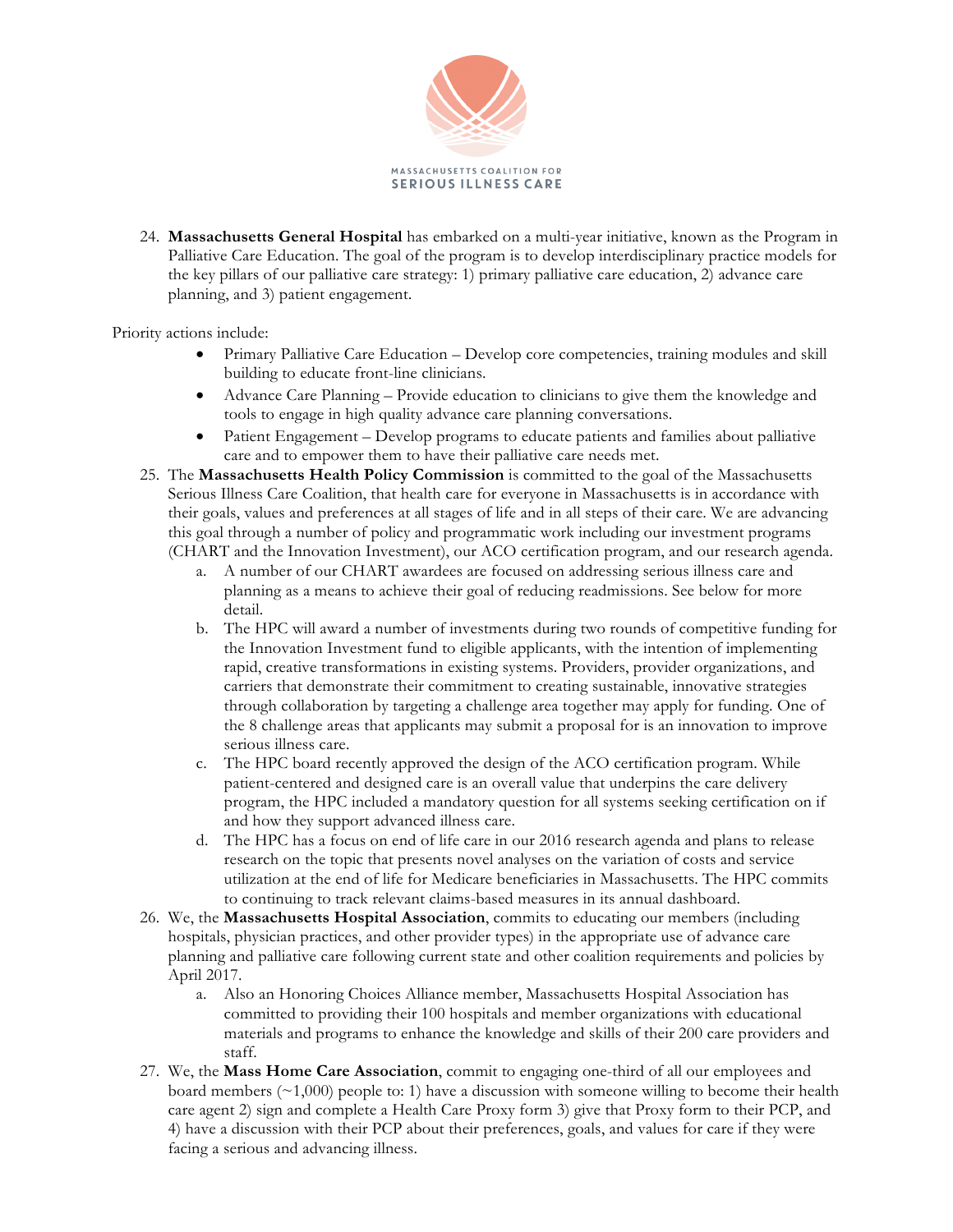

24. **Massachusetts General Hospital** has embarked on a multi-year initiative, known as the Program in Palliative Care Education. The goal of the program is to develop interdisciplinary practice models for the key pillars of our palliative care strategy: 1) primary palliative care education, 2) advance care planning, and 3) patient engagement.

Priority actions include:

- Primary Palliative Care Education Develop core competencies, training modules and skill building to educate front-line clinicians.
- Advance Care Planning Provide education to clinicians to give them the knowledge and tools to engage in high quality advance care planning conversations.
- Patient Engagement Develop programs to educate patients and families about palliative care and to empower them to have their palliative care needs met.
- 25. The **Massachusetts Health Policy Commission** is committed to the goal of the Massachusetts Serious Illness Care Coalition, that health care for everyone in Massachusetts is in accordance with their goals, values and preferences at all stages of life and in all steps of their care. We are advancing this goal through a number of policy and programmatic work including our investment programs (CHART and the Innovation Investment), our ACO certification program, and our research agenda.
	- a. A number of our CHART awardees are focused on addressing serious illness care and planning as a means to achieve their goal of reducing readmissions. See below for more detail.
	- b. The HPC will award a number of investments during two rounds of competitive funding for the Innovation Investment fund to eligible applicants, with the intention of implementing rapid, creative transformations in existing systems. Providers, provider organizations, and carriers that demonstrate their commitment to creating sustainable, innovative strategies through collaboration by targeting a challenge area together may apply for funding. One of the 8 challenge areas that applicants may submit a proposal for is an innovation to improve serious illness care.
	- c. The HPC board recently approved the design of the ACO certification program. While patient-centered and designed care is an overall value that underpins the care delivery program, the HPC included a mandatory question for all systems seeking certification on if and how they support advanced illness care.
	- d. The HPC has a focus on end of life care in our 2016 research agenda and plans to release research on the topic that presents novel analyses on the variation of costs and service utilization at the end of life for Medicare beneficiaries in Massachusetts. The HPC commits to continuing to track relevant claims-based measures in its annual dashboard.
- 26. We, the **Massachusetts Hospital Association**, commits to educating our members (including hospitals, physician practices, and other provider types) in the appropriate use of advance care planning and palliative care following current state and other coalition requirements and policies by April 2017.
	- a. Also an Honoring Choices Alliance member, Massachusetts Hospital Association has committed to providing their 100 hospitals and member organizations with educational materials and programs to enhance the knowledge and skills of their 200 care providers and staff.
- 27. We, the **Mass Home Care Association**, commit to engaging one-third of all our employees and board members  $(\sim 1,000)$  people to: 1) have a discussion with someone willing to become their health care agent 2) sign and complete a Health Care Proxy form 3) give that Proxy form to their PCP, and 4) have a discussion with their PCP about their preferences, goals, and values for care if they were facing a serious and advancing illness.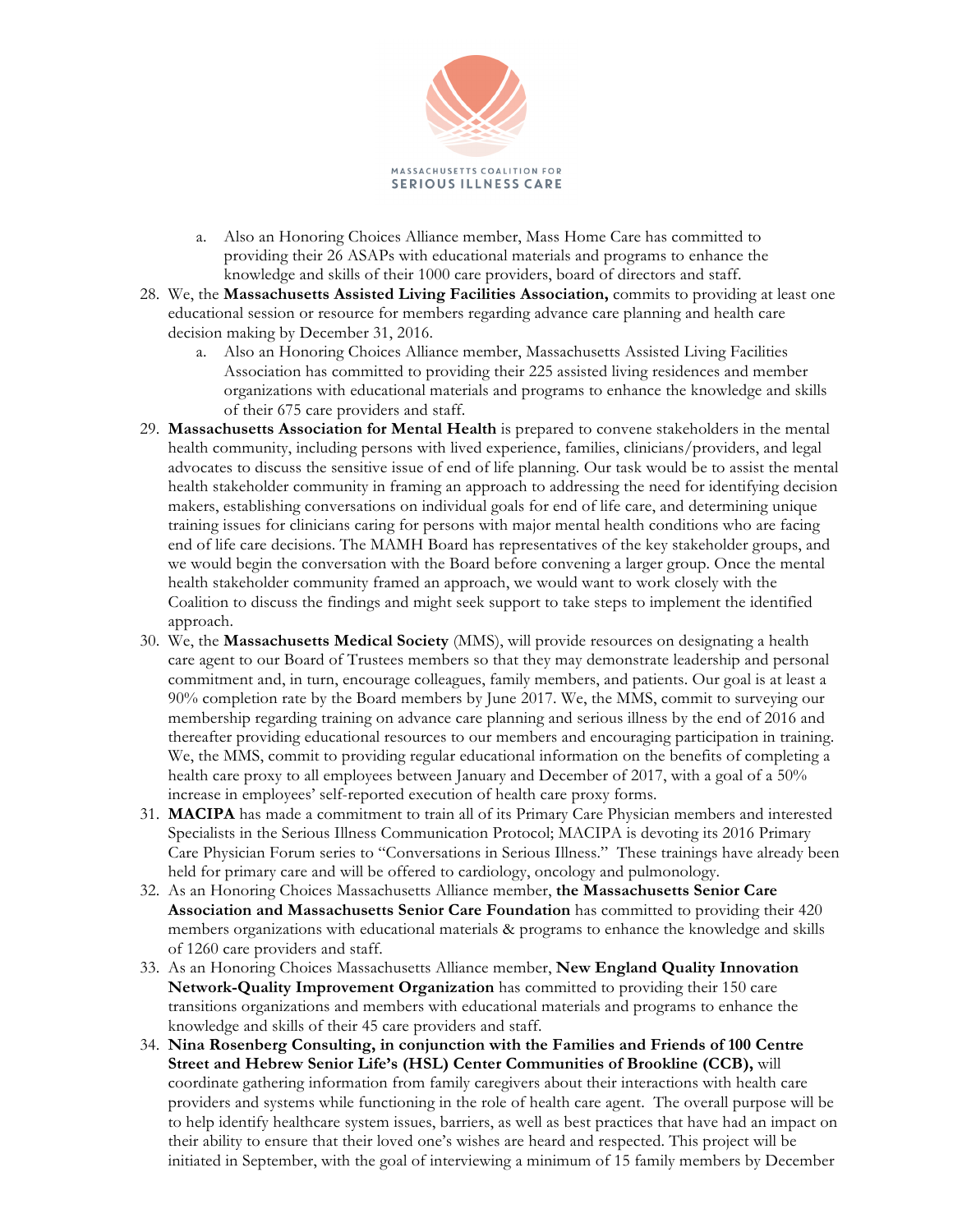

- a. Also an Honoring Choices Alliance member, Mass Home Care has committed to providing their 26 ASAPs with educational materials and programs to enhance the knowledge and skills of their 1000 care providers, board of directors and staff.
- 28. We, the **Massachusetts Assisted Living Facilities Association,** commits to providing at least one educational session or resource for members regarding advance care planning and health care decision making by December 31, 2016.
	- a. Also an Honoring Choices Alliance member, Massachusetts Assisted Living Facilities Association has committed to providing their 225 assisted living residences and member organizations with educational materials and programs to enhance the knowledge and skills of their 675 care providers and staff.
- 29. **Massachusetts Association for Mental Health** is prepared to convene stakeholders in the mental health community, including persons with lived experience, families, clinicians/providers, and legal advocates to discuss the sensitive issue of end of life planning. Our task would be to assist the mental health stakeholder community in framing an approach to addressing the need for identifying decision makers, establishing conversations on individual goals for end of life care, and determining unique training issues for clinicians caring for persons with major mental health conditions who are facing end of life care decisions. The MAMH Board has representatives of the key stakeholder groups, and we would begin the conversation with the Board before convening a larger group. Once the mental health stakeholder community framed an approach, we would want to work closely with the Coalition to discuss the findings and might seek support to take steps to implement the identified approach.
- 30. We, the **Massachusetts Medical Society** (MMS), will provide resources on designating a health care agent to our Board of Trustees members so that they may demonstrate leadership and personal commitment and, in turn, encourage colleagues, family members, and patients. Our goal is at least a 90% completion rate by the Board members by June 2017. We, the MMS, commit to surveying our membership regarding training on advance care planning and serious illness by the end of 2016 and thereafter providing educational resources to our members and encouraging participation in training. We, the MMS, commit to providing regular educational information on the benefits of completing a health care proxy to all employees between January and December of 2017, with a goal of a 50% increase in employees' self-reported execution of health care proxy forms.
- 31. **MACIPA** has made a commitment to train all of its Primary Care Physician members and interested Specialists in the Serious Illness Communication Protocol; MACIPA is devoting its 2016 Primary Care Physician Forum series to "Conversations in Serious Illness." These trainings have already been held for primary care and will be offered to cardiology, oncology and pulmonology.
- 32. As an Honoring Choices Massachusetts Alliance member, **the Massachusetts Senior Care Association and Massachusetts Senior Care Foundation** has committed to providing their 420 members organizations with educational materials & programs to enhance the knowledge and skills of 1260 care providers and staff.
- 33. As an Honoring Choices Massachusetts Alliance member, **New England Quality Innovation Network-Quality Improvement Organization** has committed to providing their 150 care transitions organizations and members with educational materials and programs to enhance the knowledge and skills of their 45 care providers and staff.
- 34. **Nina Rosenberg Consulting, in conjunction with the Families and Friends of 100 Centre Street and Hebrew Senior Life's (HSL) Center Communities of Brookline (CCB),** will coordinate gathering information from family caregivers about their interactions with health care providers and systems while functioning in the role of health care agent. The overall purpose will be to help identify healthcare system issues, barriers, as well as best practices that have had an impact on their ability to ensure that their loved one's wishes are heard and respected. This project will be initiated in September, with the goal of interviewing a minimum of 15 family members by December